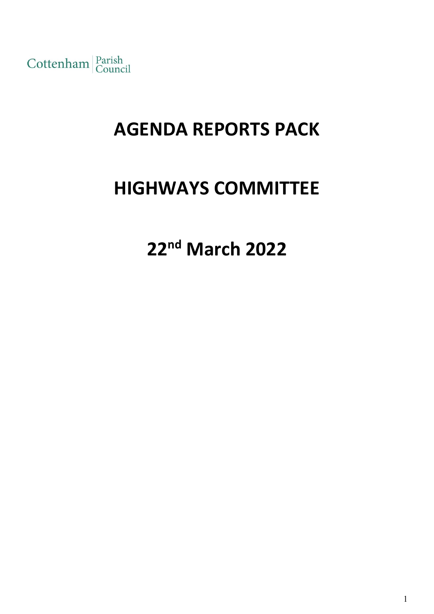Cottenham Parish

# **AGENDA REPORTS PACK**

# **HIGHWAYS COMMITTEE**

**22 nd March 2022**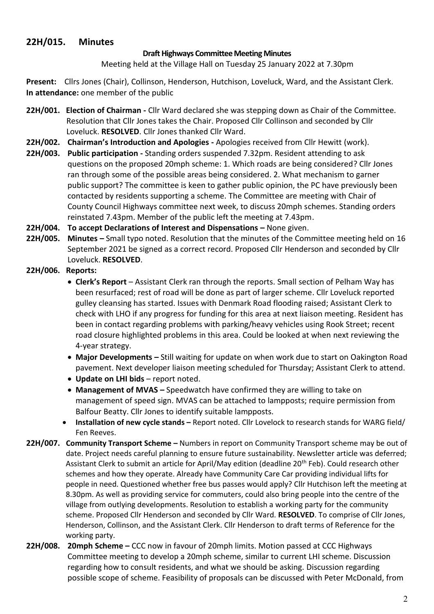# **22H/015. Minutes**

## **Draft Highways Committee Meeting Minutes**

Meeting held at the Village Hall on Tuesday 25 January 2022 at 7.30pm

**Present:** Cllrs Jones (Chair), Collinson, Henderson, Hutchison, Loveluck, Ward, and the Assistant Clerk. **In attendance:** one member of the public

- **22H/001. Election of Chairman -** Cllr Ward declared she was stepping down as Chair of the Committee. Resolution that Cllr Jones takes the Chair. Proposed Cllr Collinson and seconded by Cllr Loveluck. **RESOLVED**. Cllr Jones thanked Cllr Ward.
- **22H/002. Chairman's Introduction and Apologies -** Apologies received from Cllr Hewitt (work).
- **22H/003. Public participation -** Standing orders suspended 7.32pm. Resident attending to ask questions on the proposed 20mph scheme: 1. Which roads are being considered? Cllr Jones ran through some of the possible areas being considered. 2. What mechanism to garner public support? The committee is keen to gather public opinion, the PC have previously been contacted by residents supporting a scheme. The Committee are meeting with Chair of County Council Highways committee next week, to discuss 20mph schemes. Standing orders reinstated 7.43pm. Member of the public left the meeting at 7.43pm.

**22H/004. To accept Declarations of Interest and Dispensations –** None given.

**22H/005. Minutes –** Small typo noted. Resolution that the minutes of the Committee meeting held on 16 September 2021 be signed as a correct record. Proposed Cllr Henderson and seconded by Cllr Loveluck. **RESOLVED**.

## **22H/006. Reports:**

- **Clerk's Report** Assistant Clerk ran through the reports. Small section of Pelham Way has been resurfaced; rest of road will be done as part of larger scheme. Cllr Loveluck reported gulley cleansing has started. Issues with Denmark Road flooding raised; Assistant Clerk to check with LHO if any progress for funding for this area at next liaison meeting. Resident has been in contact regarding problems with parking/heavy vehicles using Rook Street; recent road closure highlighted problems in this area. Could be looked at when next reviewing the 4-year strategy.
- **Major Developments –** Still waiting for update on when work due to start on Oakington Road pavement. Next developer liaison meeting scheduled for Thursday; Assistant Clerk to attend.
- **Update on LHI bids** report noted.
- Management of MVAS Speedwatch have confirmed they are willing to take on management of speed sign. MVAS can be attached to lampposts; require permission from Balfour Beatty. Cllr Jones to identify suitable lampposts.
- **Installation of new cycle stands –** Report noted. Cllr Lovelock to research stands for WARG field/ Fen Reeves.
- **22H/007. Community Transport Scheme –** Numbers in report on Community Transport scheme may be out of date. Project needs careful planning to ensure future sustainability. Newsletter article was deferred; Assistant Clerk to submit an article for April/May edition (deadline 20<sup>th</sup> Feb). Could research other schemes and how they operate. Already have Community Care Car providing individual lifts for people in need. Questioned whether free bus passes would apply? Cllr Hutchison left the meeting at 8.30pm. As well as providing service for commuters, could also bring people into the centre of the village from outlying developments. Resolution to establish a working party for the community scheme. Proposed Cllr Henderson and seconded by Cllr Ward. **RESOLVED**. To comprise of Cllr Jones, Henderson, Collinson, and the Assistant Clerk. Cllr Henderson to draft terms of Reference for the working party.
- **22H/008. 20mph Scheme –** CCC now in favour of 20mph limits. Motion passed at CCC Highways Committee meeting to develop a 20mph scheme, similar to current LHI scheme. Discussion regarding how to consult residents, and what we should be asking. Discussion regarding possible scope of scheme. Feasibility of proposals can be discussed with Peter McDonald, from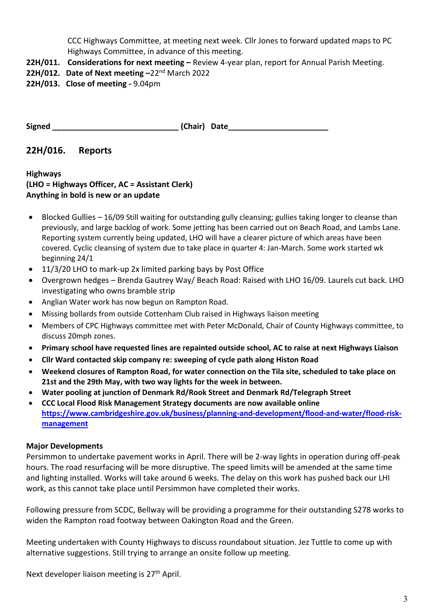CCC Highways Committee, at meeting next week. Cllr Jones to forward updated maps to PC Highways Committee, in advance of this meeting.

**22H/011. Considerations for next meeting –** Review 4-year plan, report for Annual Parish Meeting.

## **22H/012. Date of Next meeting –**22nd March 2022

**22H/013. Close of meeting -** 9.04pm

**Signed**  and **Chair Chair Date** 

# **22H/016. Reports**

**Highways (LHO = Highways Officer, AC = Assistant Clerk) Anything in bold is new or an update**

- Blocked Gullies 16/09 Still waiting for outstanding gully cleansing; gullies taking longer to cleanse than previously, and large backlog of work. Some jetting has been carried out on Beach Road, and Lambs Lane. Reporting system currently being updated, LHO will have a clearer picture of which areas have been covered. Cyclic cleansing of system due to take place in quarter 4: Jan-March. Some work started wk beginning 24/1
- 11/3/20 LHO to mark-up 2x limited parking bays by Post Office
- Overgrown hedges Brenda Gautrey Way/ Beach Road: Raised with LHO 16/09. Laurels cut back. LHO investigating who owns bramble strip
- Anglian Water work has now begun on Rampton Road.
- Missing bollards from outside Cottenham Club raised in Highways liaison meeting
- Members of CPC Highways committee met with Peter McDonald, Chair of County Highways committee, to discuss 20mph zones.
- **Primary school have requested lines are repainted outside school, AC to raise at next Highways Liaison**
- **Cllr Ward contacted skip company re: sweeping of cycle path along Histon Road**
- **Weekend closures of Rampton Road, for water connection on the Tila site, scheduled to take place on 21st and the 29th May, with two way lights for the week in between.**
- **Water pooling at junction of Denmark Rd/Rook Street and Denmark Rd/Telegraph Street**
- **CCC Local Flood Risk Management Strategy documents are now available online [https://www.cambridgeshire.gov.uk/business/planning-and-development/flood-and-water/flood-risk](https://www.cambridgeshire.gov.uk/business/planning-and-development/flood-and-water/flood-risk-management)[management](https://www.cambridgeshire.gov.uk/business/planning-and-development/flood-and-water/flood-risk-management)**

## **Major Developments**

Persimmon to undertake pavement works in April. There will be 2-way lights in operation during off-peak hours. The road resurfacing will be more disruptive. The speed limits will be amended at the same time and lighting installed. Works will take around 6 weeks. The delay on this work has pushed back our LHI work, as this cannot take place until Persimmon have completed their works.

Following pressure from SCDC, Bellway will be providing a programme for their outstanding S278 works to widen the Rampton road footway between Oakington Road and the Green.

Meeting undertaken with County Highways to discuss roundabout situation. Jez Tuttle to come up with alternative suggestions. Still trying to arrange an onsite follow up meeting.

Next developer liaison meeting is 27<sup>th</sup> April.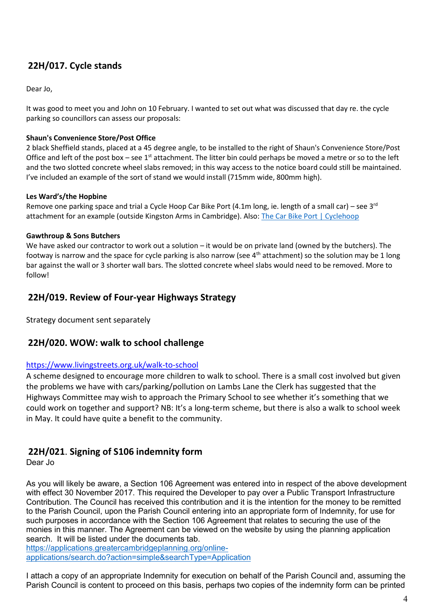# **22H/017. Cycle stands**

Dear Jo,

It was good to meet you and John on 10 February. I wanted to set out what was discussed that day re. the cycle parking so councillors can assess our proposals:

## **Shaun's Convenience Store/Post Office**

2 black Sheffield stands, placed at a 45 degree angle, to be installed to the right of Shaun's Convenience Store/Post Office and left of the post box – see  $1<sup>st</sup>$  attachment. The litter bin could perhaps be moved a metre or so to the left and the two slotted concrete wheel slabs removed; in this way access to the notice board could still be maintained. I've included an example of the sort of stand we would install (715mm wide, 800mm high).

### **Les Ward's/the Hopbine**

Remove one parking space and trial a Cycle Hoop Car Bike Port (4.1m long, ie. length of a small car) – see 3 $^{\text{rd}}$ attachment for an example (outside Kingston Arms in Cambridge). Also[: The Car Bike Port | Cyclehoop](https://www.cyclehoop.com/product/racks/car-bike-port/)

### **Gawthroup & Sons Butchers**

We have asked our contractor to work out a solution – it would be on private land (owned by the butchers). The footway is narrow and the space for cycle parking is also narrow (see  $4<sup>th</sup>$  attachment) so the solution may be 1 long bar against the wall or 3 shorter wall bars. The slotted concrete wheel slabs would need to be removed. More to follow!

# **22H/019. Review of Four-year Highways Strategy**

Strategy document sent separately

## **22H/020. WOW: walk to school challenge**

### <https://www.livingstreets.org.uk/walk-to-school>

A scheme designed to encourage more children to walk to school. There is a small cost involved but given the problems we have with cars/parking/pollution on Lambs Lane the Clerk has suggested that the Highways Committee may wish to approach the Primary School to see whether it's something that we could work on together and support? NB: It's a long-term scheme, but there is also a walk to school week in May. It could have quite a benefit to the community.

# **22H/021**. **Signing of S106 indemnity form**

Dear Jo

As you will likely be aware, a Section 106 Agreement was entered into in respect of the above development with effect 30 November 2017. This required the Developer to pay over a Public Transport Infrastructure Contribution. The Council has received this contribution and it is the intention for the money to be remitted to the Parish Council, upon the Parish Council entering into an appropriate form of Indemnity, for use for such purposes in accordance with the Section 106 Agreement that relates to securing the use of the monies in this manner. The Agreement can be viewed on the website by using the planning application search. It will be listed under the documents tab.

[https://applications.greatercambridgeplanning.org/online](https://applications.greatercambridgeplanning.org/online-applications/search.do?action=simple&searchType=Application)[applications/search.do?action=simple&searchType=Application](https://applications.greatercambridgeplanning.org/online-applications/search.do?action=simple&searchType=Application)

I attach a copy of an appropriate Indemnity for execution on behalf of the Parish Council and, assuming the Parish Council is content to proceed on this basis, perhaps two copies of the indemnity form can be printed